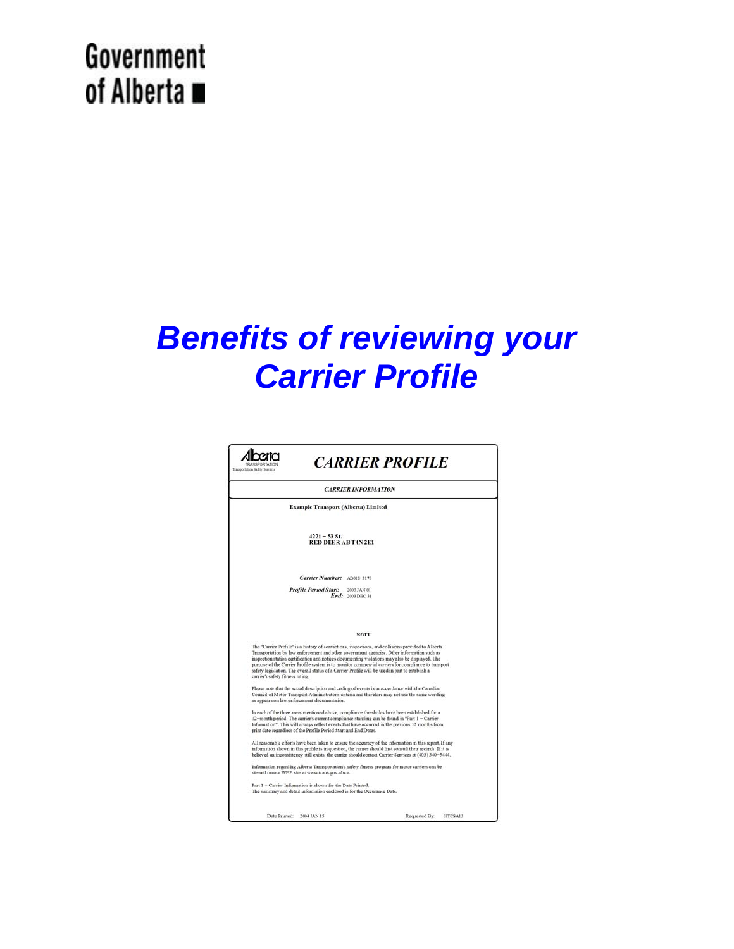## Government of Alberta ■

# *Benefits of reviewing your Carrier Profile*

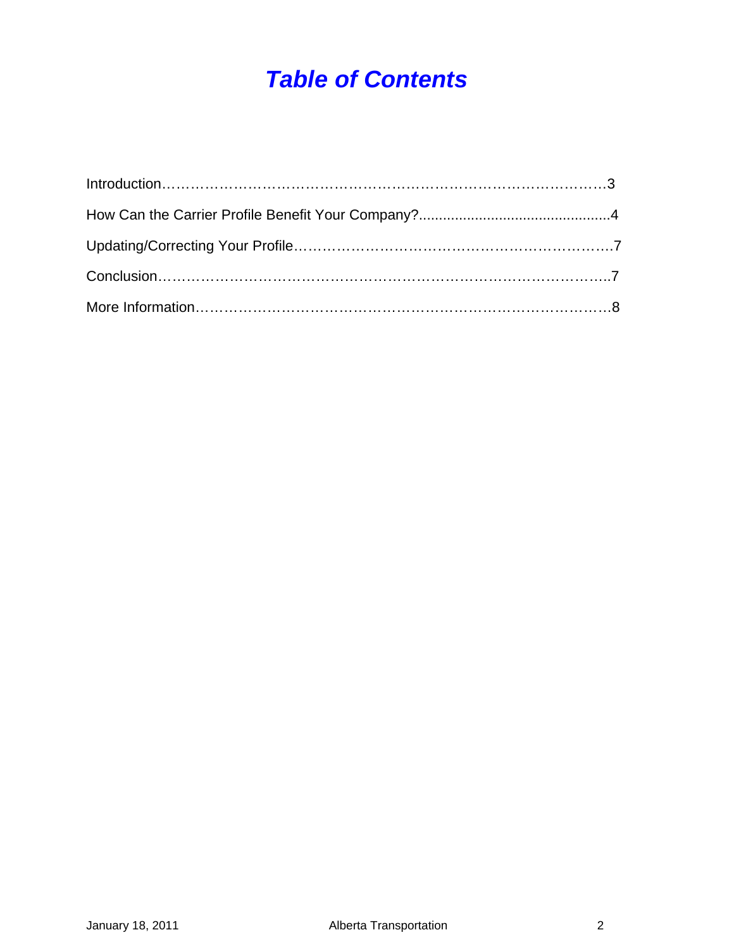## *Table of Contents*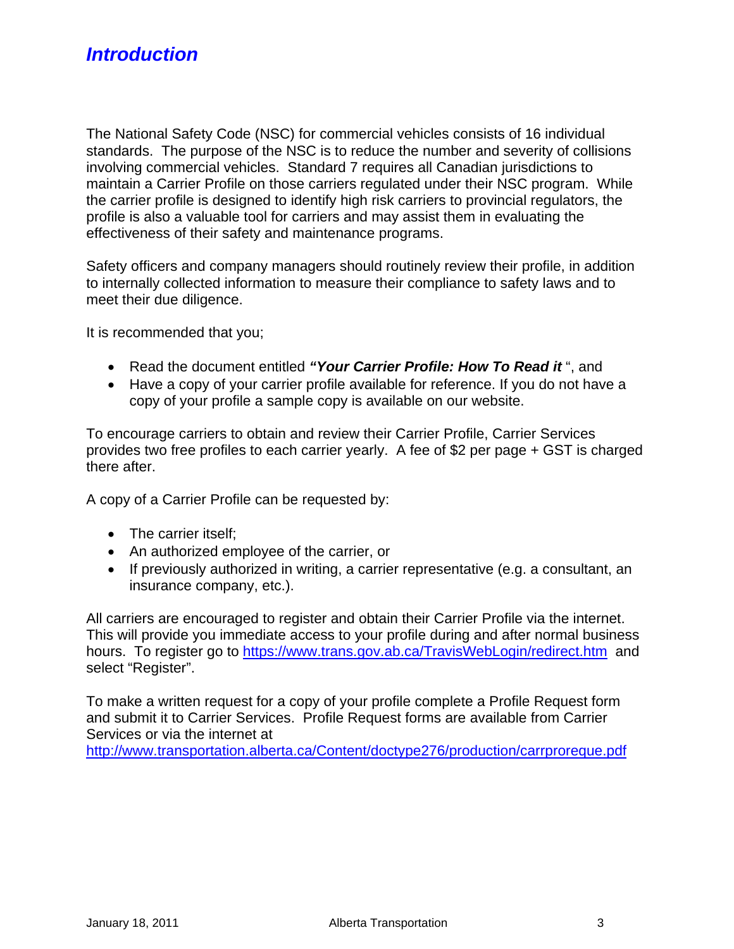The National Safety Code (NSC) for commercial vehicles consists of 16 individual standards. The purpose of the NSC is to reduce the number and severity of collisions involving commercial vehicles. Standard 7 requires all Canadian jurisdictions to maintain a Carrier Profile on those carriers regulated under their NSC program. While the carrier profile is designed to identify high risk carriers to provincial regulators, the profile is also a valuable tool for carriers and may assist them in evaluating the effectiveness of their safety and maintenance programs.

Safety officers and company managers should routinely review their profile, in addition to internally collected information to measure their compliance to safety laws and to meet their due diligence.

It is recommended that you;

- Read the document entitled *"Your Carrier Profile: How To Read it* ", and
- Have a copy of your carrier profile available for reference. If you do not have a copy of your profile a sample copy is available on our website.

To encourage carriers to obtain and review their Carrier Profile, Carrier Services provides two free profiles to each carrier yearly. A fee of \$2 per page + GST is charged there after.

A copy of a Carrier Profile can be requested by:

- The carrier itself:
- An authorized employee of the carrier, or
- If previously authorized in writing, a carrier representative (e.g. a consultant, an insurance company, etc.).

All carriers are encouraged to register and obtain their Carrier Profile via the internet. This will provide you immediate access to your profile during and after normal business hours. To register go to <https://www.trans.gov.ab.ca/TravisWebLogin/redirect.htm>and select "Register".

To make a written request for a copy of your profile complete a Profile Request form and submit it to Carrier Services. Profile Request forms are available from Carrier Services or via the internet at

<http://www.transportation.alberta.ca/Content/doctype276/production/carrproreque.pdf>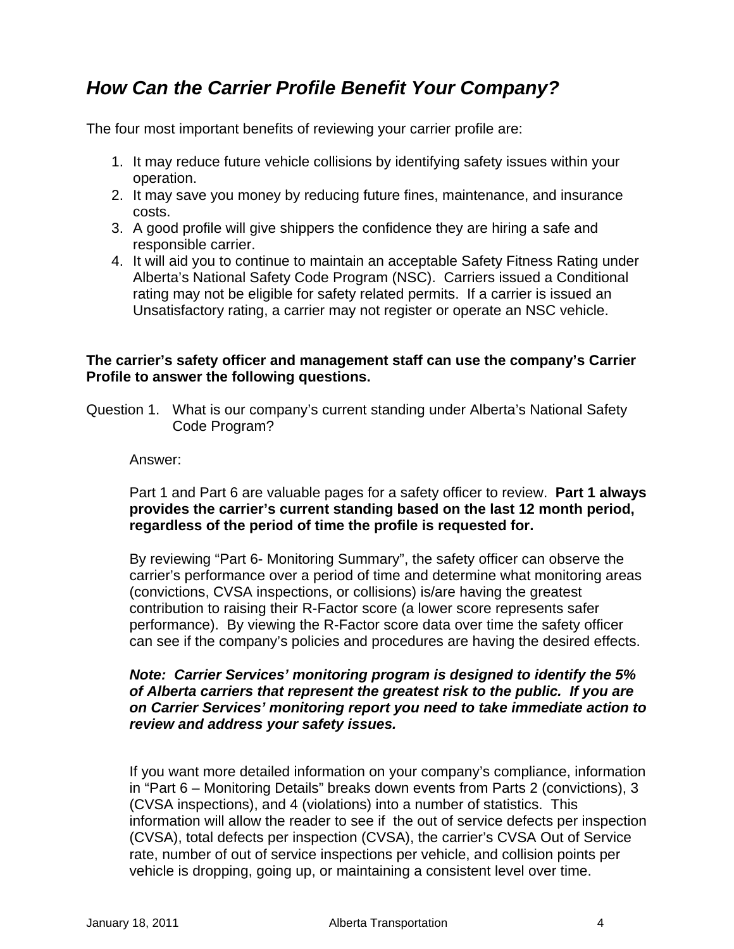### *How Can the Carrier Profile Benefit Your Company?*

The four most important benefits of reviewing your carrier profile are:

- 1. It may reduce future vehicle collisions by identifying safety issues within your operation.
- 2. It may save you money by reducing future fines, maintenance, and insurance costs.
- 3. A good profile will give shippers the confidence they are hiring a safe and responsible carrier.
- 4. It will aid you to continue to maintain an acceptable Safety Fitness Rating under Alberta's National Safety Code Program (NSC). Carriers issued a Conditional rating may not be eligible for safety related permits. If a carrier is issued an Unsatisfactory rating, a carrier may not register or operate an NSC vehicle.

#### **The carrier's safety officer and management staff can use the company's Carrier Profile to answer the following questions.**

Question 1.What is our company's current standing under Alberta's National Safety Code Program?

#### Answer:

Part 1 and Part 6 are valuable pages for a safety officer to review. **Part 1 always provides the carrier's current standing based on the last 12 month period, regardless of the period of time the profile is requested for.**

By reviewing "Part 6- Monitoring Summary", the safety officer can observe the carrier's performance over a period of time and determine what monitoring areas (convictions, CVSA inspections, or collisions) is/are having the greatest contribution to raising their R-Factor score (a lower score represents safer performance). By viewing the R-Factor score data over time the safety officer can see if the company's policies and procedures are having the desired effects.

#### *Note: Carrier Services' monitoring program is designed to identify the 5% of Alberta carriers that represent the greatest risk to the public. If you are on Carrier Services' monitoring report you need to take immediate action to review and address your safety issues.*

If you want more detailed information on your company's compliance, information in "Part 6 – Monitoring Details" breaks down events from Parts 2 (convictions), 3 (CVSA inspections), and 4 (violations) into a number of statistics. This information will allow the reader to see if the out of service defects per inspection (CVSA), total defects per inspection (CVSA), the carrier's CVSA Out of Service rate, number of out of service inspections per vehicle, and collision points per vehicle is dropping, going up, or maintaining a consistent level over time.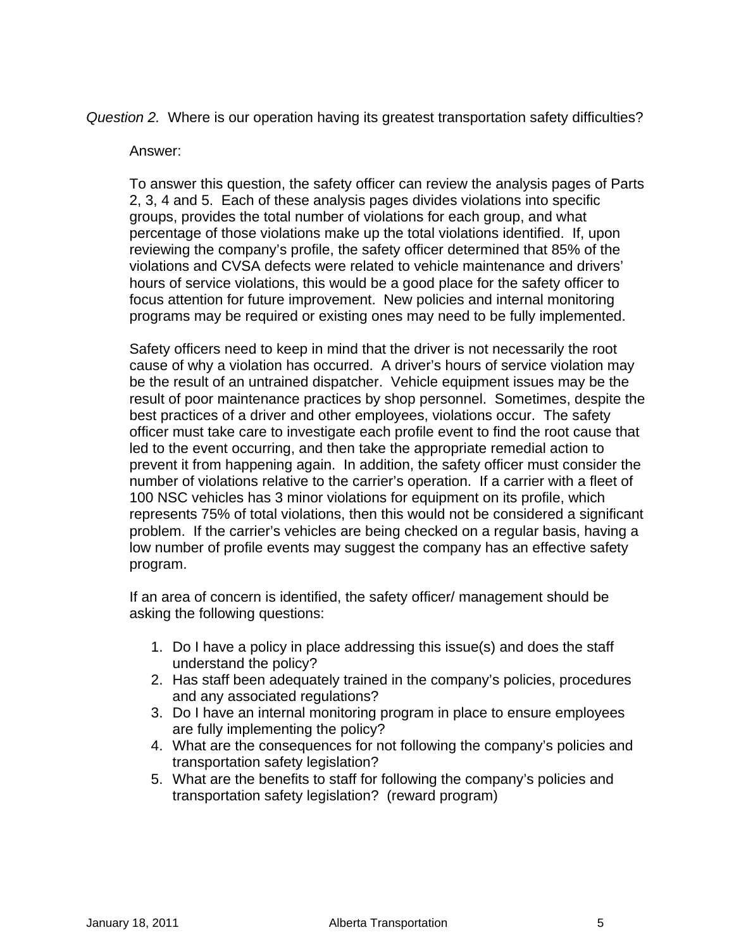*Question 2.* Where is our operation having its greatest transportation safety difficulties?

#### Answer:

To answer this question, the safety officer can review the analysis pages of Parts 2, 3, 4 and 5. Each of these analysis pages divides violations into specific groups, provides the total number of violations for each group, and what percentage of those violations make up the total violations identified. If, upon reviewing the company's profile, the safety officer determined that 85% of the violations and CVSA defects were related to vehicle maintenance and drivers' hours of service violations, this would be a good place for the safety officer to focus attention for future improvement. New policies and internal monitoring programs may be required or existing ones may need to be fully implemented.

Safety officers need to keep in mind that the driver is not necessarily the root cause of why a violation has occurred. A driver's hours of service violation may be the result of an untrained dispatcher. Vehicle equipment issues may be the result of poor maintenance practices by shop personnel. Sometimes, despite the best practices of a driver and other employees, violations occur. The safety officer must take care to investigate each profile event to find the root cause that led to the event occurring, and then take the appropriate remedial action to prevent it from happening again. In addition, the safety officer must consider the number of violations relative to the carrier's operation. If a carrier with a fleet of 100 NSC vehicles has 3 minor violations for equipment on its profile, which represents 75% of total violations, then this would not be considered a significant problem. If the carrier's vehicles are being checked on a regular basis, having a low number of profile events may suggest the company has an effective safety program.

If an area of concern is identified, the safety officer/ management should be asking the following questions:

- 1. Do I have a policy in place addressing this issue(s) and does the staff understand the policy?
- 2. Has staff been adequately trained in the company's policies, procedures and any associated regulations?
- 3. Do I have an internal monitoring program in place to ensure employees are fully implementing the policy?
- 4. What are the consequences for not following the company's policies and transportation safety legislation?
- 5. What are the benefits to staff for following the company's policies and transportation safety legislation? (reward program)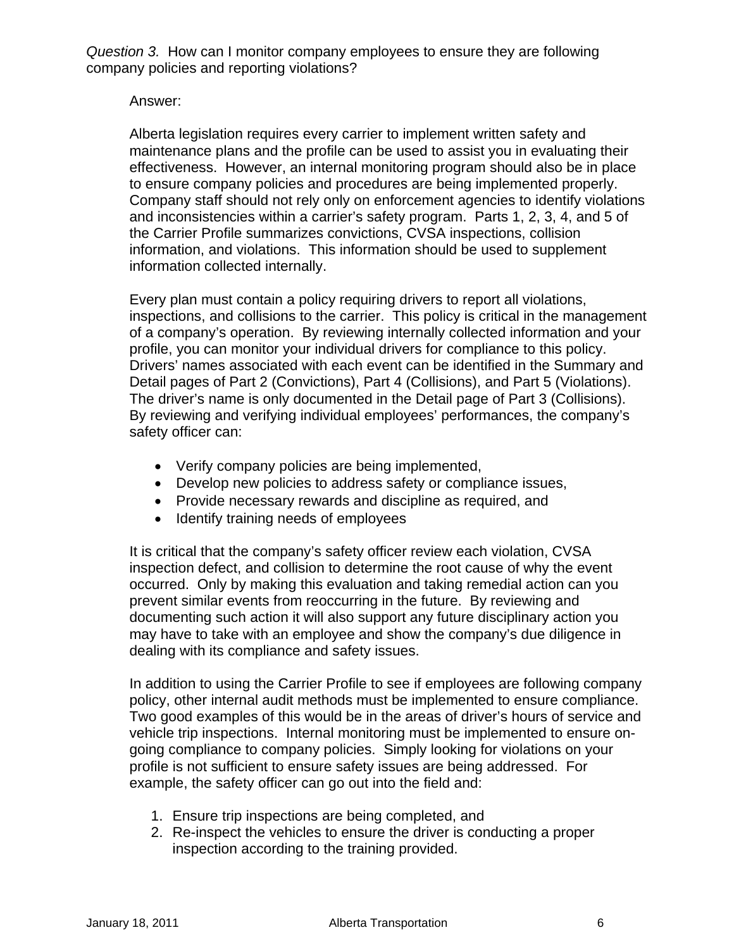*Question 3.* How can I monitor company employees to ensure they are following company policies and reporting violations?

Answer:

Alberta legislation requires every carrier to implement written safety and maintenance plans and the profile can be used to assist you in evaluating their effectiveness. However, an internal monitoring program should also be in place to ensure company policies and procedures are being implemented properly. Company staff should not rely only on enforcement agencies to identify violations and inconsistencies within a carrier's safety program. Parts 1, 2, 3, 4, and 5 of the Carrier Profile summarizes convictions, CVSA inspections, collision information, and violations. This information should be used to supplement information collected internally.

Every plan must contain a policy requiring drivers to report all violations, inspections, and collisions to the carrier. This policy is critical in the management of a company's operation. By reviewing internally collected information and your profile, you can monitor your individual drivers for compliance to this policy. Drivers' names associated with each event can be identified in the Summary and Detail pages of Part 2 (Convictions), Part 4 (Collisions), and Part 5 (Violations). The driver's name is only documented in the Detail page of Part 3 (Collisions). By reviewing and verifying individual employees' performances, the company's safety officer can:

- Verify company policies are being implemented,
- Develop new policies to address safety or compliance issues,
- Provide necessary rewards and discipline as required, and
- Identify training needs of employees

It is critical that the company's safety officer review each violation, CVSA inspection defect, and collision to determine the root cause of why the event occurred. Only by making this evaluation and taking remedial action can you prevent similar events from reoccurring in the future. By reviewing and documenting such action it will also support any future disciplinary action you may have to take with an employee and show the company's due diligence in dealing with its compliance and safety issues.

In addition to using the Carrier Profile to see if employees are following company policy, other internal audit methods must be implemented to ensure compliance. Two good examples of this would be in the areas of driver's hours of service and vehicle trip inspections. Internal monitoring must be implemented to ensure ongoing compliance to company policies. Simply looking for violations on your profile is not sufficient to ensure safety issues are being addressed. For example, the safety officer can go out into the field and:

- 1. Ensure trip inspections are being completed, and
- 2. Re-inspect the vehicles to ensure the driver is conducting a proper inspection according to the training provided.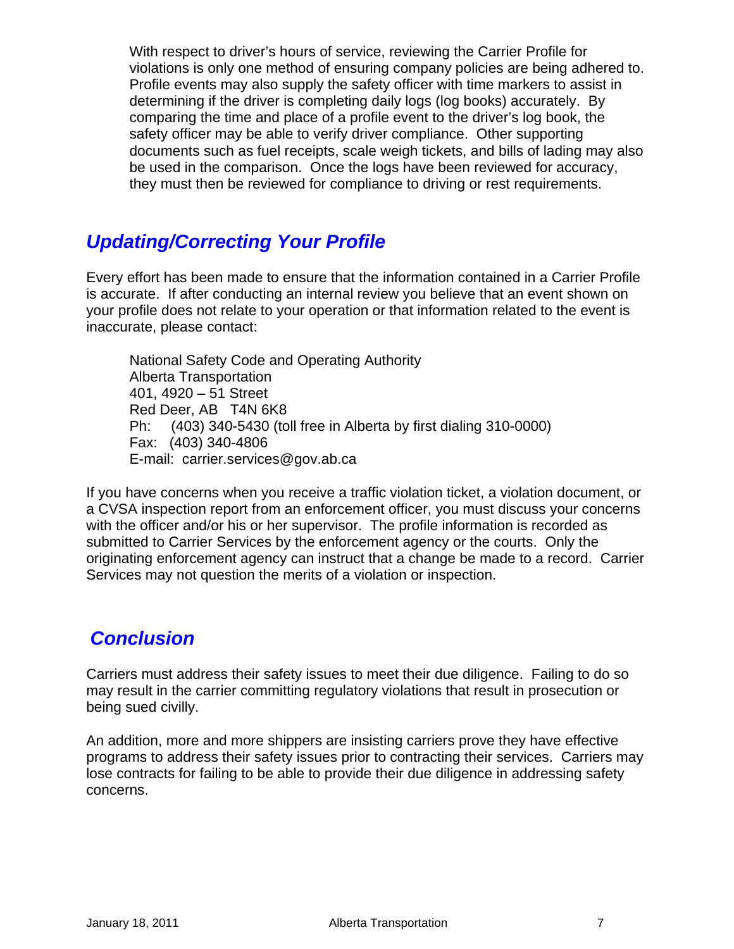With respect to driver's hours of service, reviewing the Carrier Profile for violations is only one method of ensuring company policies are being adhered to. Profile events may also supply the safety officer with time markers to assist in determining if the driver is completing daily logs (log books) accurately. By comparing the time and place of a profile event to the driver's log book, the safety officer may be able to verify driver compliance. Other supporting documents such as fuel receipts, scale weigh tickets, and bills of lading may also be used in the comparison. Once the logs have been reviewed for accuracy, they must then be reviewed for compliance to driving or rest requirements.

## *Updating/Correcting Your Profile*

Every effort has been made to ensure that the information contained in a Carrier Profile is accurate. If after conducting an internal review you believe that an event shown on your profile does not relate to your operation or that information related to the event is inaccurate, please contact:

National Safety Code and Operating Authority Alberta Transportation 401, 4920 – 51 Street Red Deer, AB T4N 6K8 Ph: (403) 340-5430 (toll free in Alberta by first dialing 310-0000) Fax: (403) 340-4806 E-mail: carrier.services@gov.ab.ca

If you have concerns when you receive a traffic violation ticket, a violation document, or a CVSA inspection report from an enforcement officer, you must discuss your concerns with the officer and/or his or her supervisor. The profile information is recorded as submitted to Carrier Services by the enforcement agency or the courts. Only the originating enforcement agency can instruct that a change be made to a record. Carrier Services may not question the merits of a violation or inspection.

## *Conclusion*

Carriers must address their safety issues to meet their due diligence. Failing to do so may result in the carrier committing regulatory violations that result in prosecution or being sued civilly.

An addition, more and more shippers are insisting carriers prove they have effective programs to address their safety issues prior to contracting their services. Carriers may lose contracts for failing to be able to provide their due diligence in addressing safety concerns.